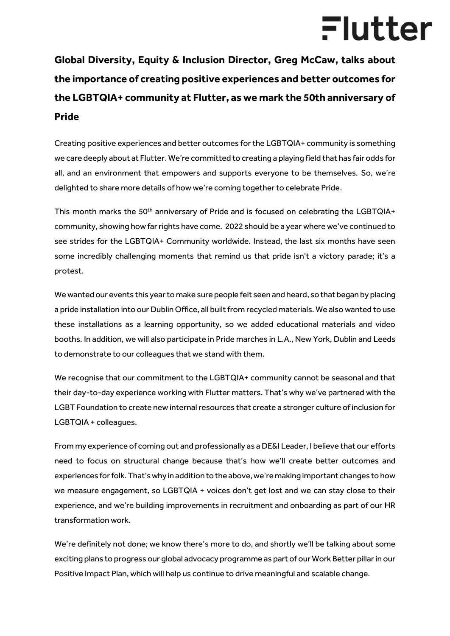## Flutter

**Global Diversity, Equity & Inclusion Director, Greg McCaw, talks about the importance of creating positive experiences and better outcomes for the LGBTQIA+ community at Flutter, as we mark the 50th anniversary of Pride**

Creating positive experiences and better outcomes for the LGBTQIA+ community is something we care deeply about at Flutter. We're committed to creating a playing field that has fair odds for all, and an environment that empowers and supports everyone to be themselves. So, we're delighted to share more details of how we're coming together to celebrate Pride.

This month marks the 50<sup>th</sup> anniversary of Pride and is focused on celebrating the LGBTQIA+ community, showing how far rights have come. 2022 should be a year where we've continued to see strides for the LGBTQIA+ Community worldwide. Instead, the last six months have seen some incredibly challenging moments that remind us that pride isn't a victory parade; it's a protest.

We wanted our events this year to make sure people felt seen and heard, so that began by placing a pride installation into our Dublin Office, all built from recycled materials. We also wanted to use these installations as a learning opportunity, so we added educational materials and video booths. In addition, we will also participate in Pride marches in L.A., New York, Dublin and Leeds to demonstrate to our colleagues that we stand with them.

We recognise that our commitment to the LGBTQIA+ community cannot be seasonal and that their day-to-day experience working with Flutter matters. That's why we've partnered with the LGBT Foundation to create new internal resources that create a stronger culture of inclusion for LGBTQIA + colleagues.

From my experience of coming out and professionally as a DE&I Leader, I believe that our efforts need to focus on structural change because that's how we'll create better outcomes and experiences for folk. That's why in addition to the above, we're making important changes to how we measure engagement, so LGBTQIA + voices don't get lost and we can stay close to their experience, and we're building improvements in recruitment and onboarding as part of our HR transformation work.

We're definitely not done; we know there's more to do, and shortly we'll be talking about some exciting plans to progress our global advocacy programme as part of our Work Better pillar in our Positive Impact Plan, which will help us continue to drive meaningful and scalable change.